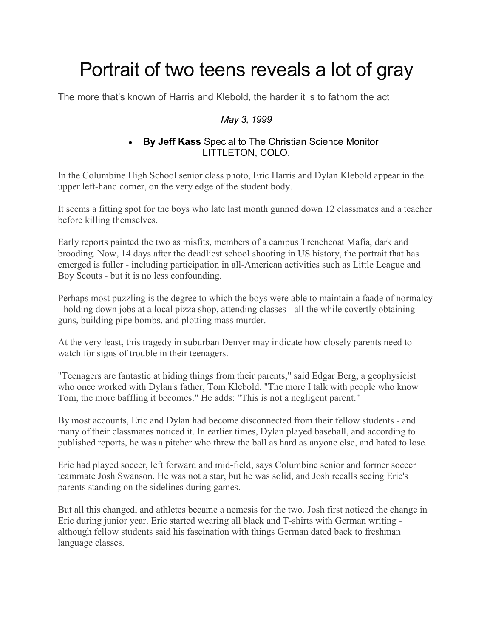## Portrait of two teens reveals a lot of gray

The more that's known of Harris and Klebold, the harder it is to fathom the act

## *May 3, 1999*

## • **By Jeff Kass** Special to The Christian Science Monitor LITTLETON, COLO.

In the Columbine High School senior class photo, Eric Harris and Dylan Klebold appear in the upper left-hand corner, on the very edge of the student body.

It seems a fitting spot for the boys who late last month gunned down 12 classmates and a teacher before killing themselves.

Early reports painted the two as misfits, members of a campus Trenchcoat Mafia, dark and brooding. Now, 14 days after the deadliest school shooting in US history, the portrait that has emerged is fuller - including participation in all-American activities such as Little League and Boy Scouts - but it is no less confounding.

Perhaps most puzzling is the degree to which the boys were able to maintain a faade of normalcy - holding down jobs at a local pizza shop, attending classes - all the while covertly obtaining guns, building pipe bombs, and plotting mass murder.

At the very least, this tragedy in suburban Denver may indicate how closely parents need to watch for signs of trouble in their teenagers.

"Teenagers are fantastic at hiding things from their parents," said Edgar Berg, a geophysicist who once worked with Dylan's father, Tom Klebold. "The more I talk with people who know Tom, the more baffling it becomes." He adds: "This is not a negligent parent."

By most accounts, Eric and Dylan had become disconnected from their fellow students - and many of their classmates noticed it. In earlier times, Dylan played baseball, and according to published reports, he was a pitcher who threw the ball as hard as anyone else, and hated to lose.

Eric had played soccer, left forward and mid-field, says Columbine senior and former soccer teammate Josh Swanson. He was not a star, but he was solid, and Josh recalls seeing Eric's parents standing on the sidelines during games.

But all this changed, and athletes became a nemesis for the two. Josh first noticed the change in Eric during junior year. Eric started wearing all black and T-shirts with German writing although fellow students said his fascination with things German dated back to freshman language classes.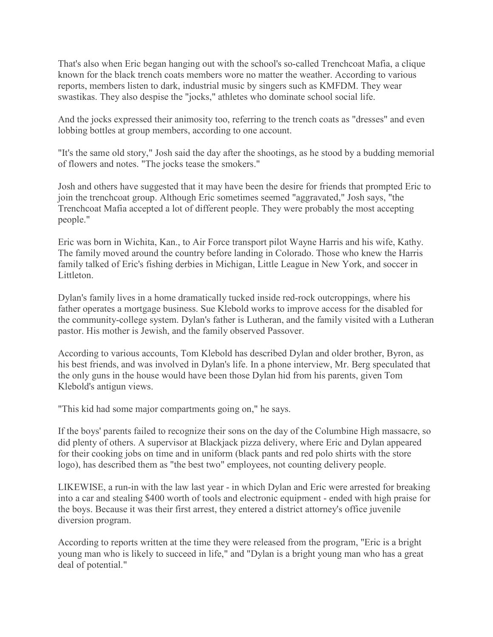That's also when Eric began hanging out with the school's so-called Trenchcoat Mafia, a clique known for the black trench coats members wore no matter the weather. According to various reports, members listen to dark, industrial music by singers such as KMFDM. They wear swastikas. They also despise the "jocks," athletes who dominate school social life.

And the jocks expressed their animosity too, referring to the trench coats as "dresses" and even lobbing bottles at group members, according to one account.

"It's the same old story," Josh said the day after the shootings, as he stood by a budding memorial of flowers and notes. "The jocks tease the smokers."

Josh and others have suggested that it may have been the desire for friends that prompted Eric to join the trenchcoat group. Although Eric sometimes seemed "aggravated," Josh says, "the Trenchcoat Mafia accepted a lot of different people. They were probably the most accepting people."

Eric was born in Wichita, Kan., to Air Force transport pilot Wayne Harris and his wife, Kathy. The family moved around the country before landing in Colorado. Those who knew the Harris family talked of Eric's fishing derbies in Michigan, Little League in New York, and soccer in Littleton.

Dylan's family lives in a home dramatically tucked inside red-rock outcroppings, where his father operates a mortgage business. Sue Klebold works to improve access for the disabled for the community-college system. Dylan's father is Lutheran, and the family visited with a Lutheran pastor. His mother is Jewish, and the family observed Passover.

According to various accounts, Tom Klebold has described Dylan and older brother, Byron, as his best friends, and was involved in Dylan's life. In a phone interview, Mr. Berg speculated that the only guns in the house would have been those Dylan hid from his parents, given Tom Klebold's antigun views.

"This kid had some major compartments going on," he says.

If the boys' parents failed to recognize their sons on the day of the Columbine High massacre, so did plenty of others. A supervisor at Blackjack pizza delivery, where Eric and Dylan appeared for their cooking jobs on time and in uniform (black pants and red polo shirts with the store logo), has described them as "the best two" employees, not counting delivery people.

LIKEWISE, a run-in with the law last year - in which Dylan and Eric were arrested for breaking into a car and stealing \$400 worth of tools and electronic equipment - ended with high praise for the boys. Because it was their first arrest, they entered a district attorney's office juvenile diversion program.

According to reports written at the time they were released from the program, "Eric is a bright young man who is likely to succeed in life," and "Dylan is a bright young man who has a great deal of potential."